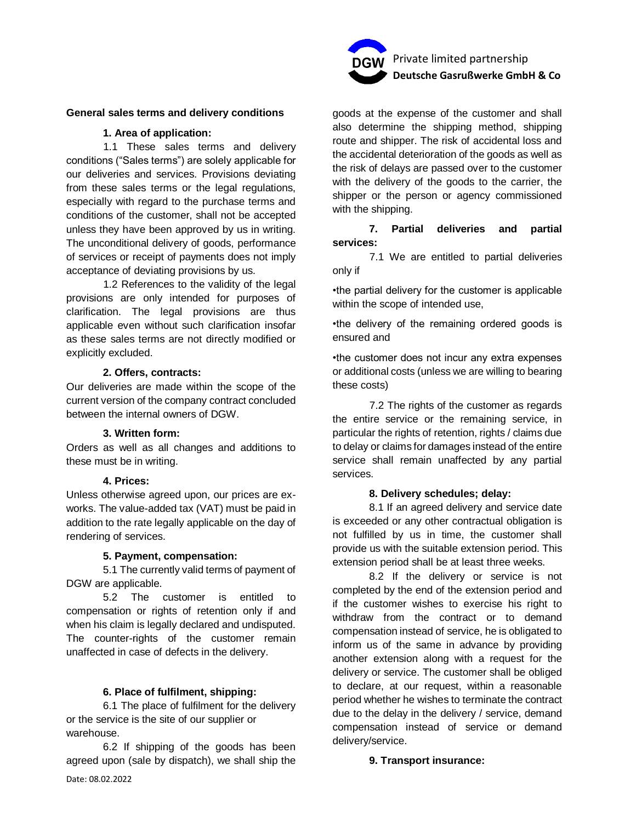

# **General sales terms and delivery conditions**

#### **1. Area of application:**

1.1 These sales terms and delivery conditions ("Sales terms") are solely applicable for our deliveries and services. Provisions deviating from these sales terms or the legal regulations, especially with regard to the purchase terms and conditions of the customer, shall not be accepted unless they have been approved by us in writing. The unconditional delivery of goods, performance of services or receipt of payments does not imply acceptance of deviating provisions by us.

1.2 References to the validity of the legal provisions are only intended for purposes of clarification. The legal provisions are thus applicable even without such clarification insofar as these sales terms are not directly modified or explicitly excluded.

#### **2. Offers, contracts:**

Our deliveries are made within the scope of the current version of the company contract concluded between the internal owners of DGW.

## **3. Written form:**

Orders as well as all changes and additions to these must be in writing.

#### **4. Prices:**

Unless otherwise agreed upon, our prices are exworks. The value-added tax (VAT) must be paid in addition to the rate legally applicable on the day of rendering of services.

#### **5. Payment, compensation:**

5.1 The currently valid terms of payment of DGW are applicable.

5.2 The customer is entitled to compensation or rights of retention only if and when his claim is legally declared and undisputed. The counter-rights of the customer remain unaffected in case of defects in the delivery.

#### **6. Place of fulfilment, shipping:**

6.1 The place of fulfilment for the delivery or the service is the site of our supplier or warehouse.

6.2 If shipping of the goods has been agreed upon (sale by dispatch), we shall ship the

goods at the expense of the customer and shall also determine the shipping method, shipping route and shipper. The risk of accidental loss and the accidental deterioration of the goods as well as the risk of delays are passed over to the customer with the delivery of the goods to the carrier, the shipper or the person or agency commissioned with the shipping.

# **7. Partial deliveries and partial services:**

7.1 We are entitled to partial deliveries only if

•the partial delivery for the customer is applicable within the scope of intended use,

•the delivery of the remaining ordered goods is ensured and

•the customer does not incur any extra expenses or additional costs (unless we are willing to bearing these costs)

7.2 The rights of the customer as regards the entire service or the remaining service, in particular the rights of retention, rights / claims due to delay or claims for damages instead of the entire service shall remain unaffected by any partial services.

#### **8. Delivery schedules; delay:**

8.1 If an agreed delivery and service date is exceeded or any other contractual obligation is not fulfilled by us in time, the customer shall provide us with the suitable extension period. This extension period shall be at least three weeks.

8.2 If the delivery or service is not completed by the end of the extension period and if the customer wishes to exercise his right to withdraw from the contract or to demand compensation instead of service, he is obligated to inform us of the same in advance by providing another extension along with a request for the delivery or service. The customer shall be obliged to declare, at our request, within a reasonable period whether he wishes to terminate the contract due to the delay in the delivery / service, demand compensation instead of service or demand delivery/service.

#### **9. Transport insurance:**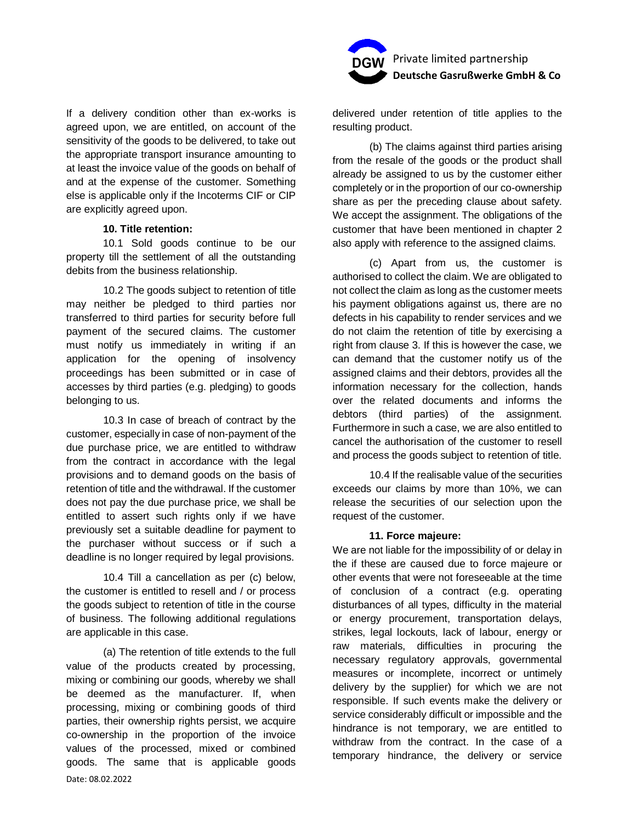If a delivery condition other than ex-works is agreed upon, we are entitled, on account of the sensitivity of the goods to be delivered, to take out the appropriate transport insurance amounting to at least the invoice value of the goods on behalf of and at the expense of the customer. Something else is applicable only if the Incoterms CIF or CIP are explicitly agreed upon.

# **10. Title retention:**

10.1 Sold goods continue to be our property till the settlement of all the outstanding debits from the business relationship.

10.2 The goods subject to retention of title may neither be pledged to third parties nor transferred to third parties for security before full payment of the secured claims. The customer must notify us immediately in writing if an application for the opening of insolvency proceedings has been submitted or in case of accesses by third parties (e.g. pledging) to goods belonging to us.

10.3 In case of breach of contract by the customer, especially in case of non-payment of the due purchase price, we are entitled to withdraw from the contract in accordance with the legal provisions and to demand goods on the basis of retention of title and the withdrawal. If the customer does not pay the due purchase price, we shall be entitled to assert such rights only if we have previously set a suitable deadline for payment to the purchaser without success or if such a deadline is no longer required by legal provisions.

10.4 Till a cancellation as per (c) below, the customer is entitled to resell and / or process the goods subject to retention of title in the course of business. The following additional regulations are applicable in this case.

Date: 08.02.2022 (a) The retention of title extends to the full value of the products created by processing, mixing or combining our goods, whereby we shall be deemed as the manufacturer. If, when processing, mixing or combining goods of third parties, their ownership rights persist, we acquire co-ownership in the proportion of the invoice values of the processed, mixed or combined goods. The same that is applicable goods



delivered under retention of title applies to the resulting product.

(b) The claims against third parties arising from the resale of the goods or the product shall already be assigned to us by the customer either completely or in the proportion of our co-ownership share as per the preceding clause about safety. We accept the assignment. The obligations of the customer that have been mentioned in chapter 2 also apply with reference to the assigned claims.

(c) Apart from us, the customer is authorised to collect the claim. We are obligated to not collect the claim as long as the customer meets his payment obligations against us, there are no defects in his capability to render services and we do not claim the retention of title by exercising a right from clause 3. If this is however the case, we can demand that the customer notify us of the assigned claims and their debtors, provides all the information necessary for the collection, hands over the related documents and informs the debtors (third parties) of the assignment. Furthermore in such a case, we are also entitled to cancel the authorisation of the customer to resell and process the goods subject to retention of title.

10.4 If the realisable value of the securities exceeds our claims by more than 10%, we can release the securities of our selection upon the request of the customer.

### **11. Force majeure:**

We are not liable for the impossibility of or delay in the if these are caused due to force majeure or other events that were not foreseeable at the time of conclusion of a contract (e.g. operating disturbances of all types, difficulty in the material or energy procurement, transportation delays, strikes, legal lockouts, lack of labour, energy or raw materials, difficulties in procuring the necessary regulatory approvals, governmental measures or incomplete, incorrect or untimely delivery by the supplier) for which we are not responsible. If such events make the delivery or service considerably difficult or impossible and the hindrance is not temporary, we are entitled to withdraw from the contract. In the case of a temporary hindrance, the delivery or service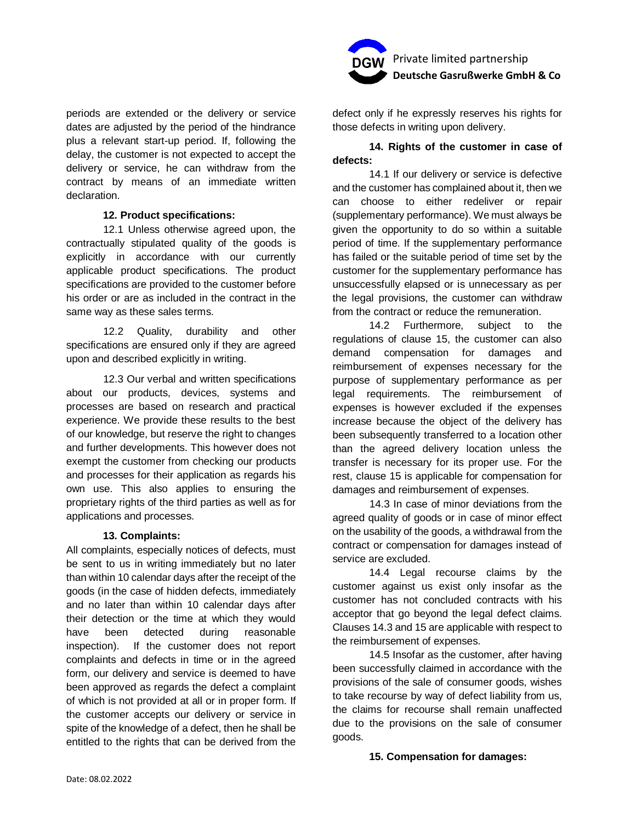

## **12. Product specifications:**

12.1 Unless otherwise agreed upon, the contractually stipulated quality of the goods is explicitly in accordance with our currently applicable product specifications. The product specifications are provided to the customer before his order or are as included in the contract in the same way as these sales terms.

12.2 Quality, durability and other specifications are ensured only if they are agreed upon and described explicitly in writing.

12.3 Our verbal and written specifications about our products, devices, systems and processes are based on research and practical experience. We provide these results to the best of our knowledge, but reserve the right to changes and further developments. This however does not exempt the customer from checking our products and processes for their application as regards his own use. This also applies to ensuring the proprietary rights of the third parties as well as for applications and processes.

### **13. Complaints:**

All complaints, especially notices of defects, must be sent to us in writing immediately but no later than within 10 calendar days after the receipt of the goods (in the case of hidden defects, immediately and no later than within 10 calendar days after their detection or the time at which they would have been detected during reasonable inspection). If the customer does not report complaints and defects in time or in the agreed form, our delivery and service is deemed to have been approved as regards the defect a complaint of which is not provided at all or in proper form. If the customer accepts our delivery or service in spite of the knowledge of a defect, then he shall be entitled to the rights that can be derived from the



defect only if he expressly reserves his rights for those defects in writing upon delivery.

# **14. Rights of the customer in case of defects:**

14.1 If our delivery or service is defective and the customer has complained about it, then we can choose to either redeliver or repair (supplementary performance). We must always be given the opportunity to do so within a suitable period of time. If the supplementary performance has failed or the suitable period of time set by the customer for the supplementary performance has unsuccessfully elapsed or is unnecessary as per the legal provisions, the customer can withdraw from the contract or reduce the remuneration.

14.2 Furthermore, subject to the regulations of clause 15, the customer can also demand compensation for damages and reimbursement of expenses necessary for the purpose of supplementary performance as per legal requirements. The reimbursement of expenses is however excluded if the expenses increase because the object of the delivery has been subsequently transferred to a location other than the agreed delivery location unless the transfer is necessary for its proper use. For the rest, clause 15 is applicable for compensation for damages and reimbursement of expenses.

14.3 In case of minor deviations from the agreed quality of goods or in case of minor effect on the usability of the goods, a withdrawal from the contract or compensation for damages instead of service are excluded.

14.4 Legal recourse claims by the customer against us exist only insofar as the customer has not concluded contracts with his acceptor that go beyond the legal defect claims. Clauses 14.3 and 15 are applicable with respect to the reimbursement of expenses.

14.5 Insofar as the customer, after having been successfully claimed in accordance with the provisions of the sale of consumer goods, wishes to take recourse by way of defect liability from us, the claims for recourse shall remain unaffected due to the provisions on the sale of consumer goods.

## **15. Compensation for damages:**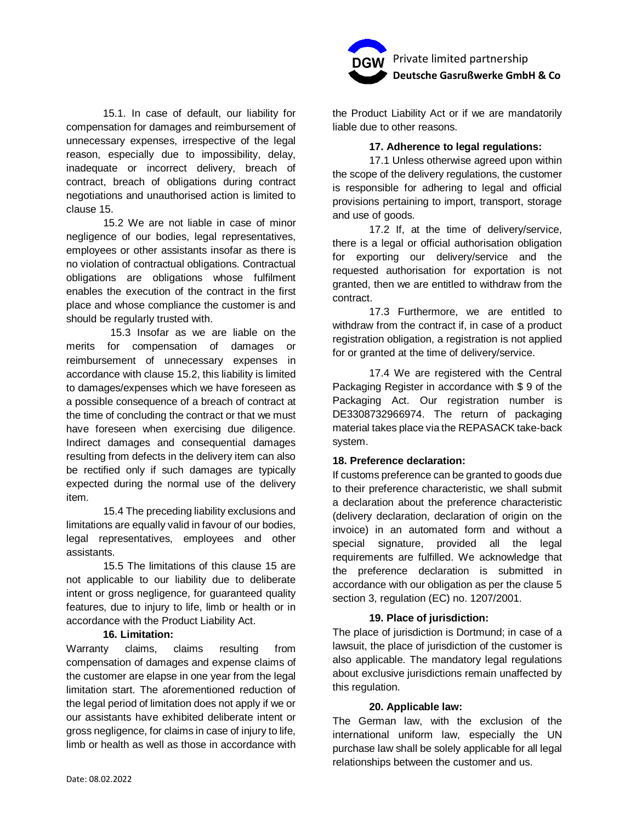

15.1. In case of default, our liability for compensation for damages and reimbursement of unnecessary expenses, irrespective of the legal reason, especially due to impossibility, delay, inadequate or incorrect delivery, breach of contract, breach of obligations during contract negotiations and unauthorised action is limited to clause 15.

15.2 We are not liable in case of minor negligence of our bodies, legal representatives, employees or other assistants insofar as there is no violation of contractual obligations. Contractual obligations are obligations whose fulfilment enables the execution of the contract in the first place and whose compliance the customer is and should be regularly trusted with.

15.3 Insofar as we are liable on the merits for compensation of damages or reimbursement of unnecessary expenses in accordance with clause 15.2, this liability is limited to damages/expenses which we have foreseen as a possible consequence of a breach of contract at the time of concluding the contract or that we must have foreseen when exercising due diligence. Indirect damages and consequential damages resulting from defects in the delivery item can also be rectified only if such damages are typically expected during the normal use of the delivery item.

15.4 The preceding liability exclusions and limitations are equally valid in favour of our bodies, legal representatives, employees and other assistants.

15.5 The limitations of this clause 15 are not applicable to our liability due to deliberate intent or gross negligence, for guaranteed quality features, due to injury to life, limb or health or in accordance with the Product Liability Act.

### **16. Limitation:**

Warranty claims, claims resulting from compensation of damages and expense claims of the customer are elapse in one year from the legal limitation start. The aforementioned reduction of the legal period of limitation does not apply if we or our assistants have exhibited deliberate intent or gross negligence, for claims in case of injury to life, limb or health as well as those in accordance with

the Product Liability Act or if we are mandatorily liable due to other reasons.

## **17. Adherence to legal regulations:**

17.1 Unless otherwise agreed upon within the scope of the delivery regulations, the customer is responsible for adhering to legal and official provisions pertaining to import, transport, storage and use of goods.

17.2 If, at the time of delivery/service, there is a legal or official authorisation obligation for exporting our delivery/service and the requested authorisation for exportation is not granted, then we are entitled to withdraw from the contract.

17.3 Furthermore, we are entitled to withdraw from the contract if, in case of a product registration obligation, a registration is not applied for or granted at the time of delivery/service.

17.4 We are registered with the Central Packaging Register in accordance with \$ 9 of the Packaging Act. Our registration number is DE3308732966974. The return of packaging material takes place via the REPASACK take-back system.

## **18. Preference declaration:**

If customs preference can be granted to goods due to their preference characteristic, we shall submit a declaration about the preference characteristic (delivery declaration, declaration of origin on the invoice) in an automated form and without a special signature, provided all the legal requirements are fulfilled. We acknowledge that the preference declaration is submitted in accordance with our obligation as per the clause 5 section 3, regulation (EC) no. 1207/2001.

## **19. Place of jurisdiction:**

The place of jurisdiction is Dortmund; in case of a lawsuit, the place of jurisdiction of the customer is also applicable. The mandatory legal regulations about exclusive jurisdictions remain unaffected by this regulation.

### **20. Applicable law:**

The German law, with the exclusion of the international uniform law, especially the UN purchase law shall be solely applicable for all legal relationships between the customer and us.